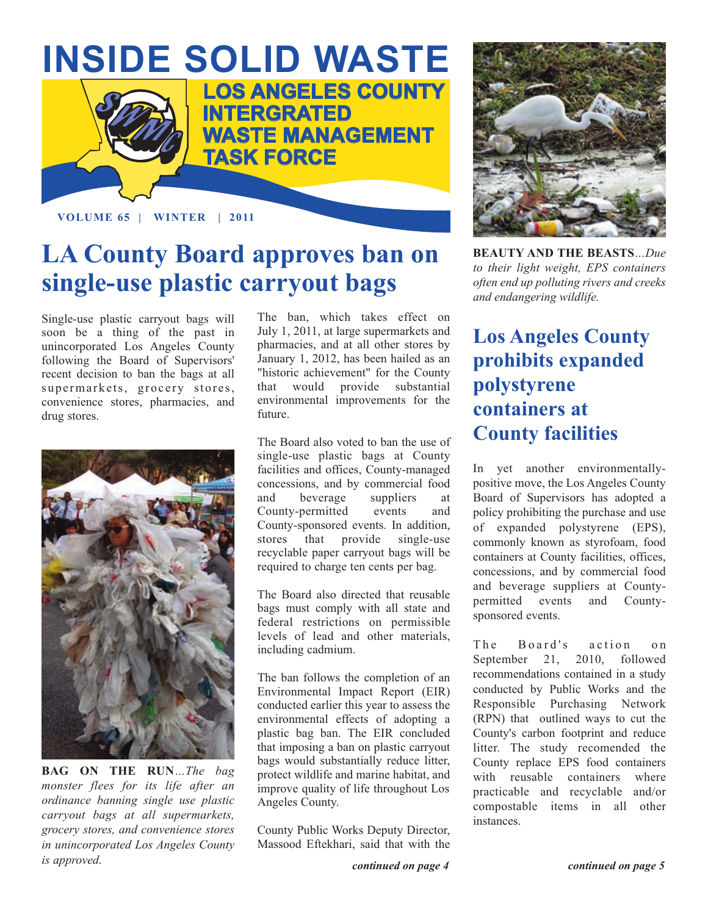

**VOLUME 65 | WINTER | 2011**

### **LA County Board approves ban on single-use plastic carryout bags**

Single-use plastic carryout bags will soon be a thing of the past in unincorporated Los Angeles County following the Board of Supervisors' recent decision to ban the bags at all supermarkets, grocery stores, convenience stores, pharmacies, and drug stores.



**BAG ON THE RUN***…The bag monster flees for its life after an ordinance banning single use plastic carryout bags at all supermarkets, grocery stores, and convenience stores in unincorporated Los Angeles County is approved.*

The ban, which takes effect on July 1, 2011, at large supermarkets and pharmacies, and at all other stores by January 1, 2012, has been hailed as an "historic achievement" for the County that would provide substantial environmental improvements for the future.

The Board also voted to ban the use of single-use plastic bags at County facilities and offices, County-managed concessions, and by commercial food and beverage suppliers at County-permitted events and County-sponsored events. In addition, stores that provide single-use recyclable paper carryout bags will be required to charge ten cents per bag.

The Board also directed that reusable bags must comply with all state and federal restrictions on permissible levels of lead and other materials, including cadmium.

The ban follows the completion of an Environmental Impact Report (EIR) conducted earlier this year to assess the environmental effects of adopting a plastic bag ban. The EIR concluded that imposing a ban on plastic carryout bags would substantially reduce litter, protect wildlife and marine habitat, and improve quality of life throughout Los Angeles County.

County Public Works Deputy Director, Massood Eftekhari, said that with the



**BEAUTY AND THE BEASTS***…Due to their light weight, EPS containers often end up polluting rivers and creeks and endangering wildlife.* 

### **Los Angeles County prohibits expanded polystyrene containers at County facilities**

In yet another environmentallypositive move, the Los Angeles County Board of Supervisors has adopted a policy prohibiting the purchase and use of expanded polystyrene (EPS), commonly known as styrofoam, food containers at County facilities, offices, concessions, and by commercial food and beverage suppliers at Countypermitted events and Countysponsored events.

The Board's action on September 21, 2010, followed recommendations contained in a study conducted by Public Works and the Responsible Purchasing Network (RPN) that outlined ways to cut the County's carbon footprint and reduce litter. The study recomended the County replace EPS food containers with reusable containers where practicable and recyclable and/or compostable items in all other instances.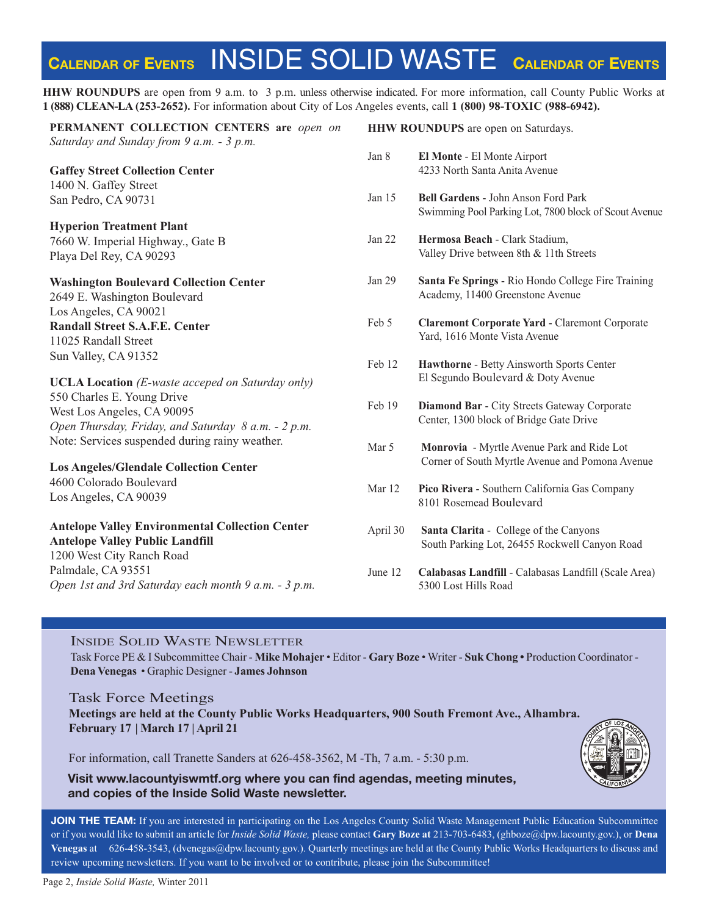### **CALENDAR OF EVENTS** INSIDE SOLID WASTE **CALENDAR OF EVENTS**

**HHW ROUNDUPS** are open from 9 a.m. to 3 p.m. unless otherwise indicated. For more information, call County Public Works at **1 (888) CLEAN-LA (253-2652).** For information about City of Los Angeles events, call **1 (800) 98-TOXIC (988-6942).**

**PERMANENT COLLECTION CENTERS are** *open on Saturday and Sunday from 9 a.m. - 3 p.m.*

**Gaffey Street Collection Center** 1400 N. Gaffey Street San Pedro, CA 90731

**Hyperion Treatment Plant** 7660 W. Imperial Highway., Gate B Playa Del Rey, CA 90293

#### **Washington Boulevard Collection Center**

2649 E. Washington Boulevard Los Angeles, CA 90021 **Randall Street S.A.F.E. Center** 11025 Randall Street Sun Valley, CA 91352

**UCLA Location** *(E-waste acceped on Saturday only)* 550 Charles E. Young Drive West Los Angeles, CA 90095 *[Open Thursday, Friday, and Saturday 8 a.m. - 2 p.m.](http://www.lacitysan.org/solid_resources/special/hhw/safe_centers/index.htm)* Note: Services suspended during rainy weather.

**Los Angeles/Glendale Collection Center** 4600 Colorado Boulevard Los Angeles, CA 90039

**Antelope Valley Environmental Collection Center Antelope Valley Public Landfill** 1200 West City Ranch Road Palmdale, CA 93551 *[Open 1st and 3rd Saturday each month 9 a.m. - 3 p.m.](http://ladpw.org/epd/avecc/index.cfm)*

**HHW ROUNDUPS** are open on Saturdays. Jan 8 **El Monte** - El Monte Airport 4233 North Santa Anita Avenue Jan 15 **Bell Gardens** - John Anson Ford Park [Swimming Pool Parking Lot, 7800 block of Scout Avenue](http://dpw.lacounty.gov/general/enotify/Calendar_Template/Calendar.aspx) Jan 22 **Hermosa Beach** - Clark Stadium, Valley Drive between 8th & 11th Streets Jan 29 **Santa Fe Springs** - Rio Hondo College Fire Training Academy, 11400 Greenstone Avenue Feb 5 **Claremont Corporate Yard** - Claremont Corporate Yard, 1616 Monte Vista Avenue Feb 12 **Hawthorne** - Betty Ainsworth Sports Center El Segundo Boulevard & Doty Avenue Feb 19 **Diamond Bar** - City Streets Gateway Corporate Center, 1300 block of Bridge Gate Drive Mar 5 **Monrovia** - Myrtle Avenue Park and Ride Lot Corner of South Myrtle Avenue and Pomona Avenue Mar 12 **Pico Rivera** - Southern California Gas Company

- 8101 Rosemead Boulevard
- April 30 **Santa Clarita** College of the Canyons South Parking Lot, 26455 Rockwell Canyon Road
- June 12 **Calabasas Landfill** Calabasas Landfill (Scale Area) 5300 Lost Hills Road

#### INSIDE SOLID WASTE NEWSLETTER

Task Force PE & I Subcommittee Chair - **Mike Mohajer** • Editor - **Gary Boze** • Writer - **Suk Chong •** Production Coordinator - **Dena Venegas** • Graphic Designer - **James Johnson**

Task Force Meetings **Meetings are held at the County Public Works Headquarters, 900 South Fremont Ave., Alhambra. February 17 | March 17 | April 21**

For information, call Tranette Sanders at 626-458-3562, M -Th, 7 a.m. - 5:30 p.m.

**Visit www.lacountyiswmtf.org where you can find agendas, meeting minutes, an[d copies of the Inside Solid W](http://dpw.lacounty.gov/epd/tf/)aste newsletter.**

**JOIN THE TEAM:** If you are interested in participating on the Los Angeles County Solid Waste Management Public Education Subcommittee or if you would like to submit an article for *Inside Solid Waste,* please contact **Gary Boze at** 213-703-6483, (ghboze@dpw.lacounty.gov.), or **Dena Venegas** at 626-458-354[3, \(dvenegas@dpw.lacounty.gov.\).](mailto:\\dvenegas@dpw.lacounty.gov) Quarterly meetings are held at the County Pu[blic Works Headquarters to discuss](mailto:\\ghboze@dpw.lacounty.gov) and review upcoming newsletters. If you want to be involved or to contribute, please join the Subcommittee!

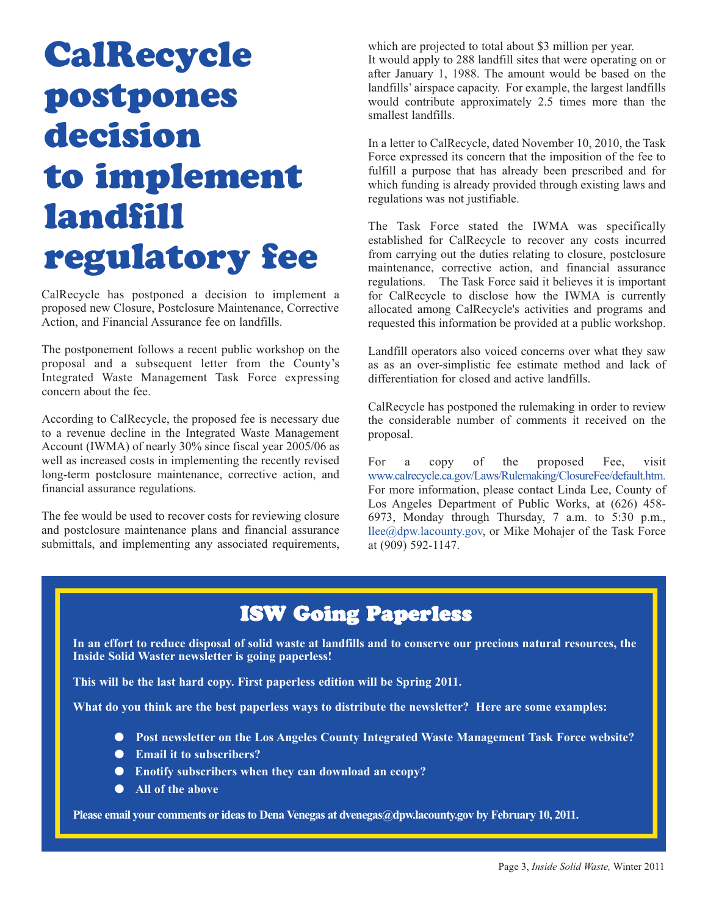## **CalRecycle postpones decision [to implement](http://www.calrecycle.ca.gov/)  landfill regulatory fee**

CalRecycle has postponed a decision to implement a proposed new Closure, Postclosure Maintenance, Corrective Action, and Financial Assurance fee on landfills.

The postponement follows a recent public workshop on the proposal and a subsequent letter from the County's Integrated Waste Management Task Force expressing concern about the fee.

According to CalRecycle, the proposed fee is necessary due to a revenue decline in the Integrated Waste Management Account (IWMA) of nearly 30% since fiscal year 2005/06 as well as increased costs in implementing the recently revised long-term postclosure maintenance, corrective action, and financial assurance regulations.

The fee would be used to recover costs for reviewing closure and postclosure maintenance plans and financial assurance submittals, and implementing any associated requirements,

which are projected to total about \$3 million per year. It would apply to 288 landfill sites that were operating on or after January 1, 1988. The amount would be based on the landfills' airspace capacity. For example, the largest landfills would contribute approximately 2.5 times more than the smallest landfills.

In a letter to CalRecycle, dated November 10, 2010, the Task Force expressed its concern that the imposition of the fee to fulfill a purpose that has already been prescribed and for which funding is already provided through existing laws and regulations was not justifiable.

The Task Force stated the IWMA was specifically established for CalRecycle to recover any costs incurred from carrying out the duties relating to closure, postclosure maintenance, corrective action, and financial assurance regulations. The Task Force said it believes it is important for CalRecycle to disclose how the IWMA is currently allocated among CalRecycle's activities and programs and requested this information be provided at a public workshop.

Landfill operators also voiced concerns over what they saw as as an over-simplistic fee estimate method and lack of differentiation for closed and active landfills.

CalRecycle has postponed the rulemaking in order to review the considerable number of comments it received on the proposal.

For a copy of the proposed Fee, visit www.calrecycle.ca.gov/Laws/Rulemaking/ClosureFee/default.htm. [For more information, please contact Linda Lee, County of](http://www.calrecycle.ca.gov/Laws/Rulemaking/ClosureFee/default.htm) Los Angeles Department of Public Works, at (626) 458- 6973, Monday through Thursday, 7 a.m. to 5:30 p.m., [llee@dpw.lacounty.gov, or](mailto:\\llee@dpw.lacounty.gov) Mike Mohajer of the Task Force at (909) 592-1147.

### **ISW Going Paperless**

**In an effort to reduce disposal of solid waste at landfills and to conserve our precious natural resources, the Inside Solid Waster newsletter is going paperless!** 

**This will be the last hard copy. First paperless edition will be Spring 2011.**

**What do you think are the best paperless ways to distribute the newsletter? Here are some examples:**

- Post newsletter on the Los Angeles County Integrated Waste Management Task Force website?
- **Email it to subscribers?**
- **Enotify subscribers when they can download an ecopy?**
- **All of the above**

**Please email your comments or ideas to Dena Venegas [at dvenegas@dpw.lacounty.gov](mailto:\\dvenegas@dpw.lacounty.gov) by February 10, 2011.**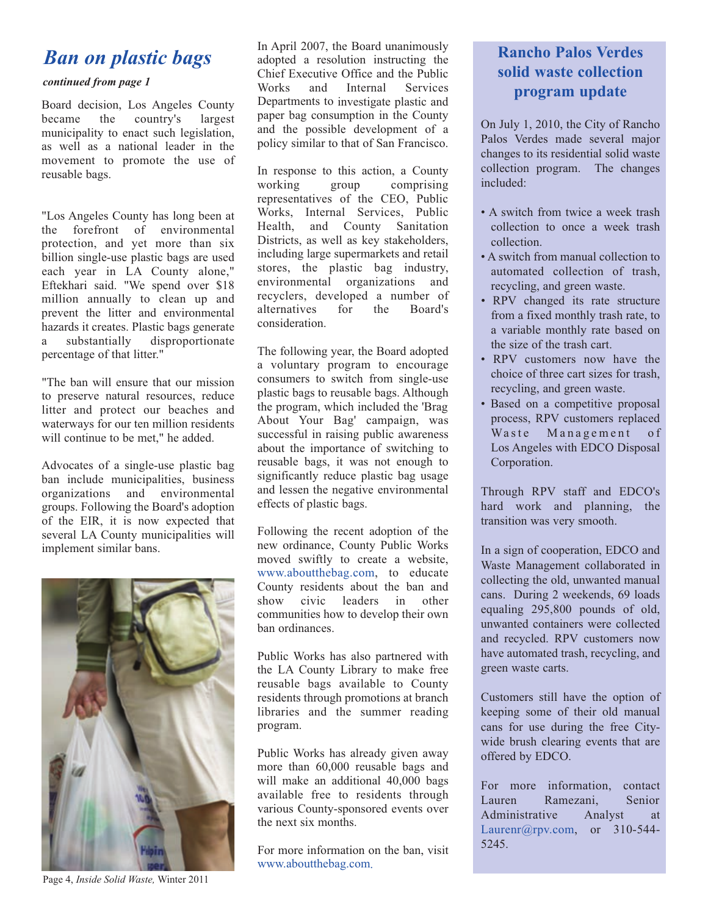### *Ban on plastic bags*

### *continued from page 1*

Board decision, Los Angeles County became the country's largest municipality to enact such legislation, as well as a national leader in the movement to promote the use of reusable bags.

"Los Angeles County has long been at the forefront of environmental protection, and yet more than six billion single-use plastic bags are used each year in LA County alone," Eftekhari said. "We spend over \$18 million annually to clean up and prevent the litter and environmental hazards it creates. Plastic bags generate<br>a substantially disproportionate a substantially disproportionate percentage of that litter."

"The ban will ensure that our mission to preserve natural resources, reduce litter and protect our beaches and waterways for our ten million residents will continue to be met," he added.

Advocates of a single-use plastic bag ban include municipalities, business organizations and environmental groups. Following the Board's adoption of the EIR, it is now expected that several LA County municipalities will implement similar bans.



Page 4, *Inside Solid Waste,* Winter 2011

In April 2007, the Board unanimously adopted a resolution instructing the Chief Executive Office and the Public Works and Internal Services Departments to investigate plastic and paper bag consumption in the County and the possible development of a policy similar to that of San Francisco.

In response to this action, a County<br>working group comprising comprising representatives of the CEO, Public Works, Internal Services, Public Health, and County Sanitation Districts, as well as key stakeholders, including large supermarkets and retail stores, the plastic bag industry, environmental organizations and recyclers, developed a number of<br>alternatives for the Board's alternatives for the Board's consideration.

The following year, the Board adopted a voluntary program to encourage consumers to switch from single-use plastic bags to reusable bags. Although the program, which included the 'Brag About Your Bag' campaign, was successful in raising public awareness about the importance of switching to reusable bags, it was not enough to significantly reduce plastic bag usage and lessen the negative environmental effects of plastic bags.

Following the recent adoption of the new ordinance, County Public Works moved swiftly to create a website, [www.aboutthebag.com,](http://www.aboutthebag.com/) to educate County residents about the ban and show civic leaders in other communities how to develop their own ban ordinances.

Public Works has also partnered with the LA County Library to make free reusable bags available to County residents through promotions at branch libraries and the summer reading program.

Public Works has already given away more than 60,000 reusable bags and will make an additional 40,000 bags available free to residents through various County-sponsored events over the next six months.

For more information on the ban, visit [www.aboutthebag.com.](http://www.aboutthebag.com/)

### **[Rancho Palos Verdes](http://www.palosverdes.com/rpv/) solid waste collection program update**

On July 1, 2010, the City of Rancho Palos Verdes made several major changes to its residential solid waste collection program. The changes included:

- A switch from twice a week trash collection to once a week trash collection.
- A switch from manual collection to automated collection of trash, recycling, and green waste.
- RPV changed its rate structure from a fixed monthly trash rate, to a variable monthly rate based on the size of the trash cart.
- RPV customers now have the choice of three cart sizes for trash, recycling, and green waste.
- Based on a competitive proposal process, RPV customers replaced Waste Management of Los Angeles with EDCO Disposal Corporation.

Through RPV staff and EDCO's hard work and planning, the transition was very smooth.

In a sign of cooperation, EDCO and Waste Management collaborated in collecting the old, unwanted manual cans. During 2 weekends, 69 loads equaling 295,800 pounds of old, unwanted containers were collected and recycled. RPV customers now have automated trash, recycling, and green waste carts.

Customers still have the option of keeping some of their old manual cans for use during the free Citywide brush clearing events that are offered by EDCO.

For more information, contact Lauren Ramezani, Senior [Administrative](mailto:\\Laurenr@rpv.com) Analyst at Laurenr@rpv.com, or  $310-544$ -5245.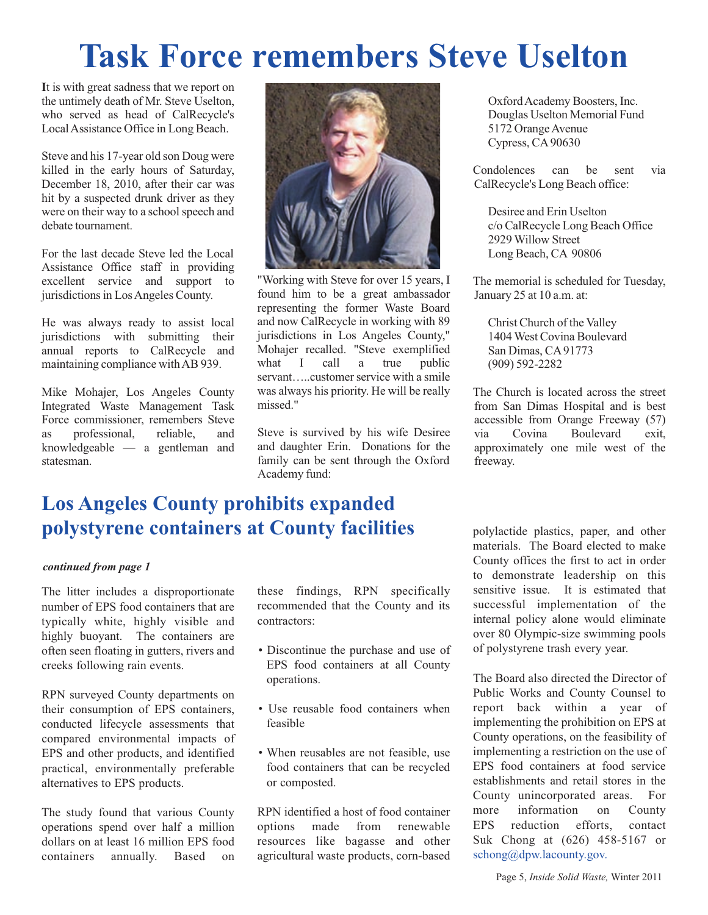## **Task Force remembers Steve Uselton**

**I**t is with great sadness that we report on the untimely death of Mr. Steve Uselton, who served as head of CalRecycle's Local Assistance Office in Long Beach.

Steve and his 17-year old son Doug were killed in the early hours of Saturday, December 18, 2010, after their car was hit by a suspected drunk driver as they were on their way to a school speech and debate tournament.

For the last decade Steve led the Local Assistance Office staff in providing excellent service and support to jurisdictions in Los Angeles County.

He was always ready to assist local jurisdictions with submitting their annual reports to CalRecycle and maintaining compliance with AB 939.

Mike Mohajer, Los Angeles County Integrated Waste Management Task Force commissioner, remembers Steve as professional, reliable, and knowledgeable — a gentleman and statesman.



"Working with Steve for over 15 years, I found him to be a great ambassador representing the former Waste Board and now CalRecycle in working with 89 jurisdictions in Los Angeles County," Mohajer recalled. "Steve exemplified what I call a true public servant…..customer service with a smile was always his priority. He will be really missed."

Steve is survived by his wife Desiree and daughter Erin. Donations for the family can be sent through the Oxford Academy fund:

### **Los Angeles County prohibits expanded polystyrene containers at County facilities**

#### *continued from page 1*

The litter includes a disproportionate number of EPS food containers that are typically white, highly visible and highly buoyant. The containers are often seen floating in gutters, rivers and creeks following rain events.

RPN surveyed County departments on their consumption of EPS containers, conducted lifecycle assessments that compared environmental impacts of EPS and other products, and identified practical, environmentally preferable alternatives to EPS products.

The study found that various County operations spend over half a million dollars on at least 16 million EPS food containers annually. Based on these findings, RPN specifically recommended that the County and its contractors:

- Discontinue the purchase and use of EPS food containers at all County operations.
- Use reusable food containers when feasible
- When reusables are not feasible, use food containers that can be recycled or composted.

RPN identified a host of food container options made from renewable resources like bagasse and other agricultural waste products, corn-based

Oxford Academy Boosters, Inc. Douglas Uselton Memorial Fund 5172 Orange Avenue Cypress, CA 90630

Condolences can be sent via CalRecycle's Long Beach office:

Desiree and Erin Uselton c/o CalRecycle Long Beach Office 2929 Willow Street Long Beach, CA 90806

The memorial is scheduled for Tuesday, January 25 at 10 a.m. at:

Christ Church of the Valley 1404 West Covina Boulevard San Dimas, CA 91773 (909) 592-2282

The Church is located across the street from San Dimas Hospital and is best accessible from Orange Freeway (57) via Covina Boulevard exit, approximately one mile west of the freeway.

polylactide plastics, paper, and other materials. The Board elected to make County offices the first to act in order to demonstrate leadership on this sensitive issue. It is estimated that successful implementation of the internal policy alone would eliminate over 80 Olympic-size swimming pools of polystyrene trash every year.

The Board also directed the Director of Public Works and County Counsel to report back within a year of implementing the prohibition on EPS at County operations, on the feasibility of implementing a restriction on the use of EPS food containers at food service establishments and retail stores in the County unincorporated areas. For more information on County EPS reduction efforts, contact [Suk Chong at \(626\) 45](mailto:\\schong@dpw.lacounty.gov)8-5167 or schong@dpw.lacounty.gov.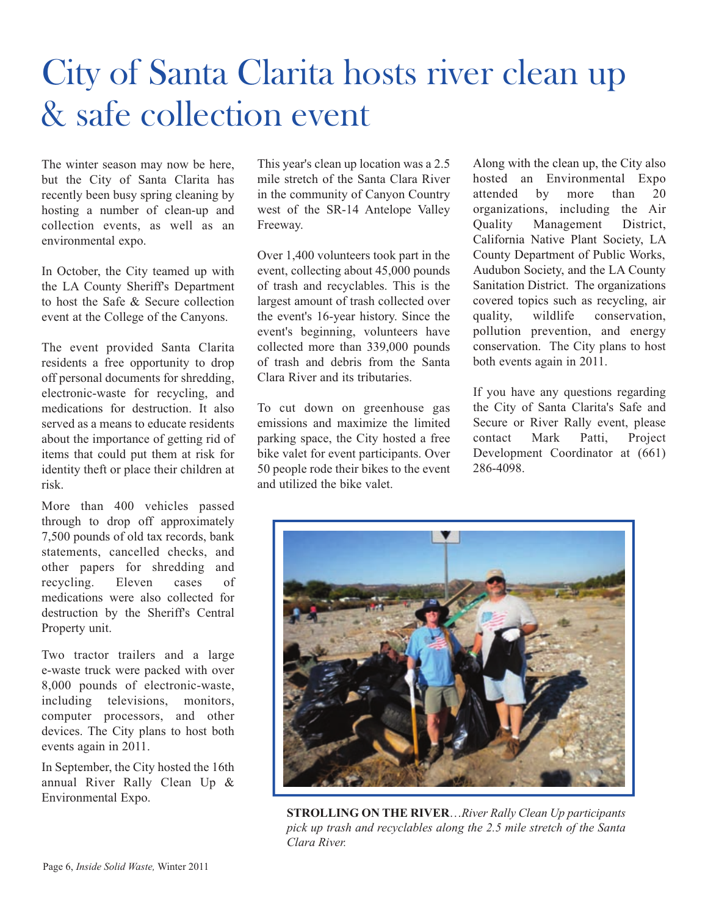#### Page 6, *Inside Solid Waste,* Winter 2011

## [City of Santa Clarita hosts river clean up](http://www.santa-clarita.com/)  & safe collection event

The winter season may now be here, but the City of Santa Clarita has recently been busy spring cleaning by hosting a number of clean-up and collection events, as well as an environmental expo.

In October, the City teamed up with the LA County Sheriff's Department to host the Safe & Secure collection event at the College of the Canyons.

The event provided Santa Clarita residents a free opportunity to drop off personal documents for shredding, electronic-waste for recycling, and medications for destruction. It also served as a means to educate residents about the importance of getting rid of items that could put them at risk for identity theft or place their children at risk.

More than 400 vehicles passed through to drop off approximately 7,500 pounds of old tax records, bank statements, cancelled checks, and other papers for shredding and recycling. Eleven cases of medications were also collected for destruction by the Sheriff's Central Property unit.

Two tractor trailers and a large e-waste truck were packed with over 8,000 pounds of electronic-waste, including televisions, monitors, computer processors, and other devices. The City plans to host both events again in 2011.

In September, the City hosted the 16th annual River Rally Clean Up & Environmental Expo.

This year's clean up location was a 2.5 mile stretch of the Santa Clara River in the community of Canyon Country west of the SR-14 Antelope Valley Freeway.

Over 1,400 volunteers took part in the event, collecting about 45,000 pounds of trash and recyclables. This is the largest amount of trash collected over the event's 16-year history. Since the event's beginning, volunteers have collected more than 339,000 pounds of trash and debris from the Santa Clara River and its tributaries.

To cut down on greenhouse gas emissions and maximize the limited parking space, the City hosted a free bike valet for event participants. Over 50 people rode their bikes to the event and utilized the bike valet.

Along with the clean up, the City also hosted an Environmental Expo attended by more than 20 organizations, including the Air Quality Management District, California Native Plant Society, LA County Department of Public Works, Audubon Society, and the LA County Sanitation District. The organizations covered topics such as recycling, air quality, wildlife conservation, pollution prevention, and energy conservation. The City plans to host both events again in 2011.

If you have any questions regarding the City of Santa Clarita's Safe and Secure or River Rally event, please contact Mark Patti, Project Development Coordinator at (661) 286-4098.



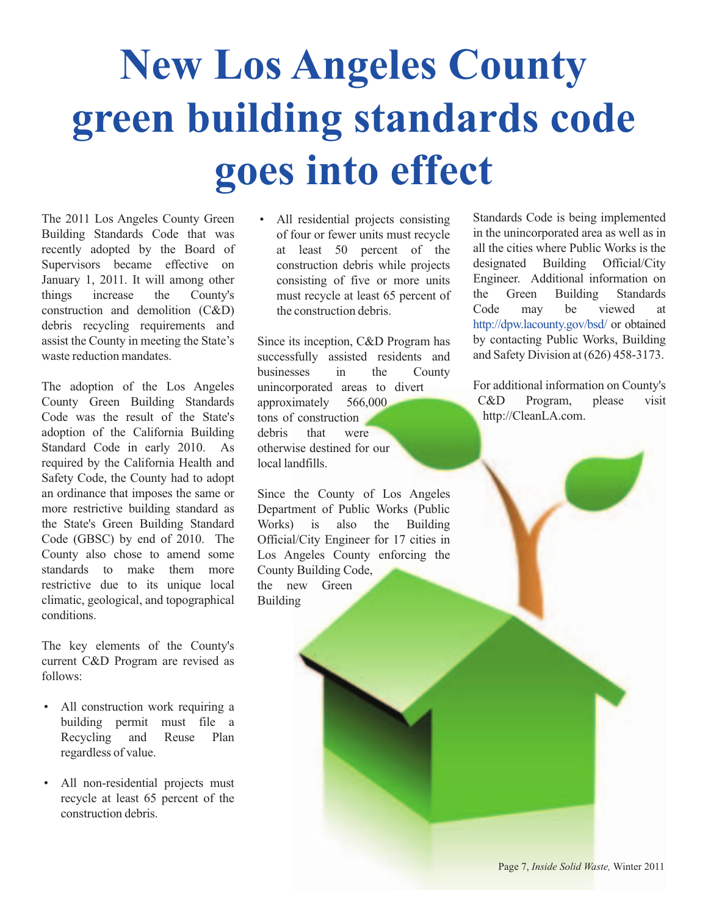# **New Los Angeles County green building standards code goes into effect**

The 2011 Los Angeles County Green Building Standards Code that was recently adopted by the Board of Supervisors became effective on January 1, 2011. It will among other things increase the County's construction and demolition (C&D) debris recycling requirements and assist the County in meeting the State's waste reduction mandates.

The adoption of the Los Angeles County Green Building Standards Code was the result of the State's adoption of the California Building Standard Code in early 2010. As required by the California Health and Safety Code, the County had to adopt an ordinance that imposes the same or more restrictive building standard as the State's Green Building Standard Code (GBSC) by end of 2010. The County also chose to amend some standards to make them more restrictive due to its unique local climatic, geological, and topographical conditions.

The key elements of the County's current C&D Program are revised as follows:

- All construction work requiring a building permit must file a Recycling and Reuse Plan regardless of value.
- All non-residential projects must recycle at least 65 percent of the construction debris.

All residential projects consisting of four or fewer units must recycle at least 50 percent of the construction debris while projects consisting of five or more units must recycle at least 65 percent of the construction debris.

Since its inception, C&D Program has successfully assisted residents and businesses in the County unincorporated areas to divert approximately 566,000 tons of construction debris that were otherwise destined for our local landfills.

Since the County of Los Angeles Department of Public Works (Public Works) is also the Building Official/City Engineer for 17 cities in Los Angeles County enforcing the County Building Code, the new Green Building

Standards Code is being implemented in the unincorporated area as well as in all the cities where Public Works is the designated Building Official/City Engineer. Additional information on the Green Building Standards Code may be viewed at <http://dpw.lacounty.gov/bsd/>or obtained by contacting Public Works, Building and Safety Division at (626) 458-3173.

For additional information on County's [C&D Program,](http://cleanla.com./) please visit http://CleanLA.com.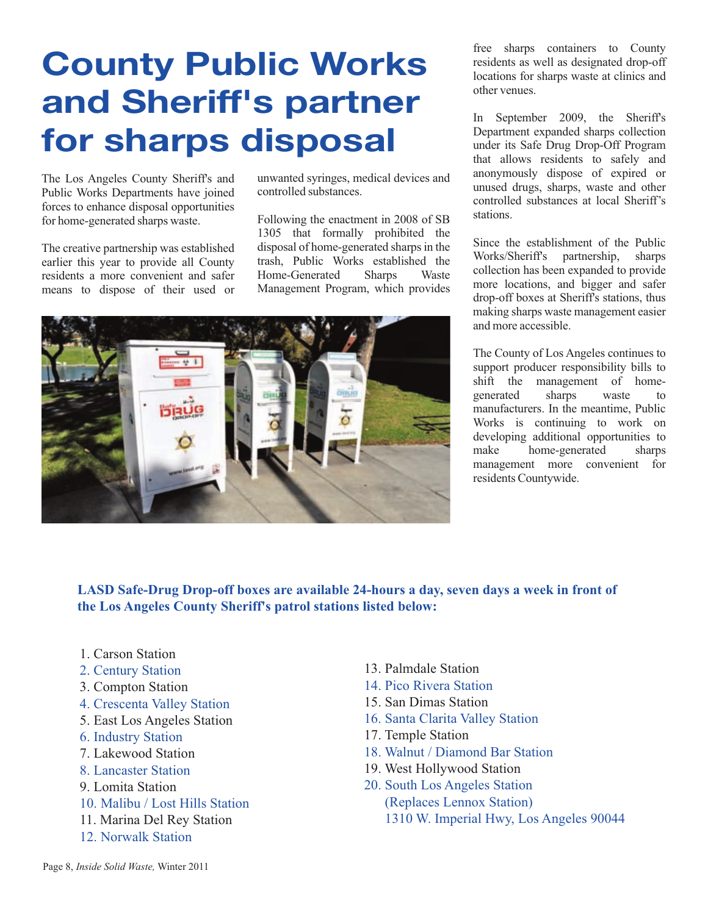## **[County Public Works](http://dpw.lacounty.gov/epd/hhw/sharps/index.cfm) and Sheriff's partner for sharps disposal**

The Los Angeles County Sheriff's and Public Works Departments have joined forces to enhance disposal opportunities for home-generated sharps waste.

The creative partnership was established earlier this year to provide all County residents a more convenient and safer means to dispose of their used or

unwanted syringes, medical devices and controlled substances.

Following the enactment in 2008 of SB 1305 that formally prohibited the disposal of home-generated sharps in the trash, Public Works established the Home-Generated Sharps Waste Management Program, which provides



free sharps containers to County residents as well as designated drop-off locations for sharps waste at clinics and other venues.

In September 2009, the Sheriff's Department expanded sharps collection under its Safe Drug Drop-Off Program that allows residents to safely and anonymously dispose of expired or unused drugs, sharps, waste and other controlled substances at local Sheriff's stations.

Since the establishment of the Public Works/Sheriff's partnership, sharps collection has been expanded to provide more locations, and bigger and safer drop-off boxes at Sheriff's stations, thus making sharps waste management easier and more accessible.

The County of Los Angeles continues to support producer responsibility bills to shift the management of home-<br>generated sharps waste to generated sharps waste to manufacturers. In the meantime, Public Works is continuing to work on developing additional opportunities to<br>make home-generated sharps home-generated sharps management more convenient for residents Countywide.

**LASD Safe-Drug Drop-off boxes are available 24-hours a day, seven days a week in front of the Los Angeles County Sheriff's patrol stations listed below:**

- 1. Carson Station
- 2. Century Station
- 3. Compton Station
- 4. Crescenta Valley Station
- 5. East Los Angeles Station
- 6. Industry Station
- 7. Lakewood Station
- 8. Lancaster Station
- 9. Lomita Station
- 10. Malibu / Lost Hills Station
- 11. Marina Del Rey Station
- 12. Norwalk Station
- 13. Palmdale Station
- 14. Pico Rivera Station
- 15. San Dimas Station
- 16. Santa Clarita Valley Station
- 17. Temple Station
- 18. Walnut / Diamond Bar Station
- 19. West Hollywood Station
- 20. South Los Angeles Station (Replaces Lennox Station) 1310 W. Imperial Hwy, Los Angeles 90044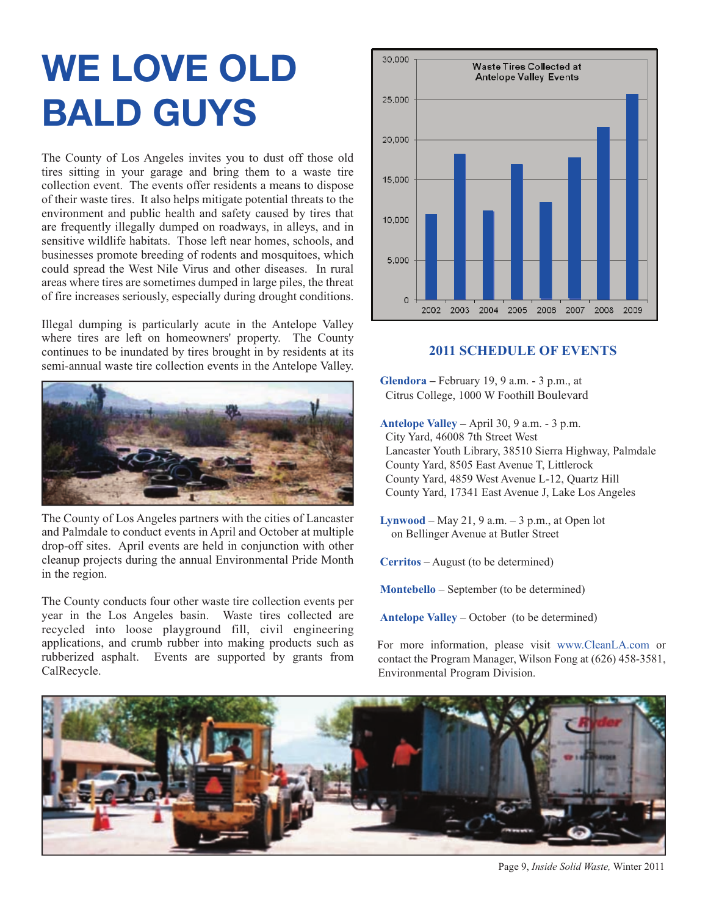## **[WE LOVE OLD](http://dpw.lacounty.gov/epd/tirerecycling/collection.cfm) BALD GUYS**

The County of Los Angeles invites you to dust off those old tires sitting in your garage and bring them to a waste tire collection event. The events offer residents a means to dispose of their waste tires. It also helps mitigate potential threats to the environment and public health and safety caused by tires that are frequently illegally dumped on roadways, in alleys, and in sensitive wildlife habitats. Those left near homes, schools, and businesses promote breeding of rodents and mosquitoes, which could spread the West Nile Virus and other diseases. In rural areas where tires are sometimes dumped in large piles, the threat of fire increases seriously, especially during drought conditions.

Illegal dumping is particularly acute in the Antelope Valley where tires are left on homeowners' property. The County continues to be inundated by tires brought in by residents at its semi-annual waste tire collection events in the Antelope Valley.



The County of Los Angeles partners with the cities of Lancaster and Palmdale to conduct events in April and October at multiple drop-off sites. April events are held in conjunction with other cleanup projects during the annual Environmental Pride Month in the region.

The County conducts four other waste tire collection events per year in the Los Angeles basin. Waste tires collected are recycled into loose playground fill, civil engineering applications, and crumb rubber into making products such as rubberized asphalt. Events are supported by grants from CalRecycle.



#### **2011 SCHEDULE OF EVENTS**

**Glendora –** February 19, 9 a.m. - 3 p.m., at Citrus College, 1000 W Foothill Boulevard

**Antelope Valley –** April 30, 9 a.m. - 3 p.m. City Yard, 46008 7th Street West Lancaster Youth Library, 38510 Sierra Highway, Palmdale County Yard, 8505 East Avenue T, Littlerock County Yard, 4859 West Avenue L-12, Quartz Hill County Yard, 17341 East Avenue J, Lake Los Angeles

**Lynwood** – May 21, 9 a.m. – 3 p.m., at Open lot on Bellinger Avenue at Butler Street

**Cerritos** – August (to be determined)

**Montebello** – September (to be determined)

**Antelope Valley** – October (to be determined)

For more information, please visit www.CleanLA.com or contact the Program Manager, Wilson [Fong at \(626\) 458-3581,](http://dpw.lacounty.gov/epd/cleanla/default.html) Environmental Program Division.



Page 9, *Inside Solid Waste,* Winter 2011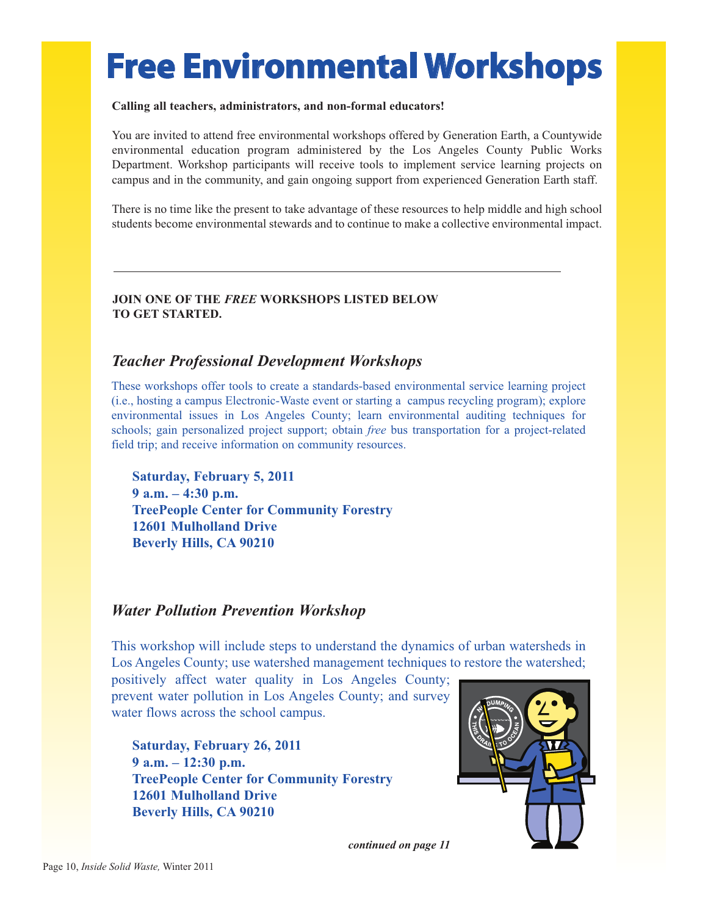## **Free Environmental Workshops**

#### **Calling all teachers, administrators, and non-formal educators!**

You are invited to attend free environmental workshops offered by Generation Earth, a Countywide environmental education program administered by the Los Angeles County Public Works Department. Workshop participants will receive tools to implement service learning projects on campus and in the community, and gain ongoing support from experienc[ed Generation Earth sta](http://www.generationearth.com/)ff.

There is no time like the present to take advantage of these resources to help middle and high school students become environmental stewards and to continue to make a collective environmental impact.

#### **JOIN ONE OF THE** *FREE* **WORKSHOPS LISTED BELOW TO GET STARTED.**

### *Teacher Professional Development Workshops*

These workshops offer tools to create a standards-based environmental service learning project (i.e., hosting a campus Electronic-Waste event or starting a campus recycling program); explore environmental issues in Los Angeles County; learn environmental auditing techniques for schools; gain personalized project support; obtain *free* bus transportation for a project-related field trip; and receive information on community resources.

**Saturday, February 5, 2011 9 a.m. – 4:30 p.m. [TreePeople Center f](http://www.treepeople.org/)or Community Forestry 12601 Mulholland Drive Beverly Hills, CA 90210**

### *Water Pollution Prevention Workshop*

This workshop will include steps to understand the dynamics of urban watersheds in Los Angeles County; use watershed management techniques to restore the watershed;

positively affect water quality in Los Angeles County; prevent water pollution in Los Angeles County; and survey water flows across the school campus.

**Saturday, February 26, 2011 9 a.m. – 12:30 p.m. TreePeople Center for Community Forestry [12601 Mulholland D](http://www.treepeople.org/)rive Beverly Hills, CA 90210**



*continued on page 11*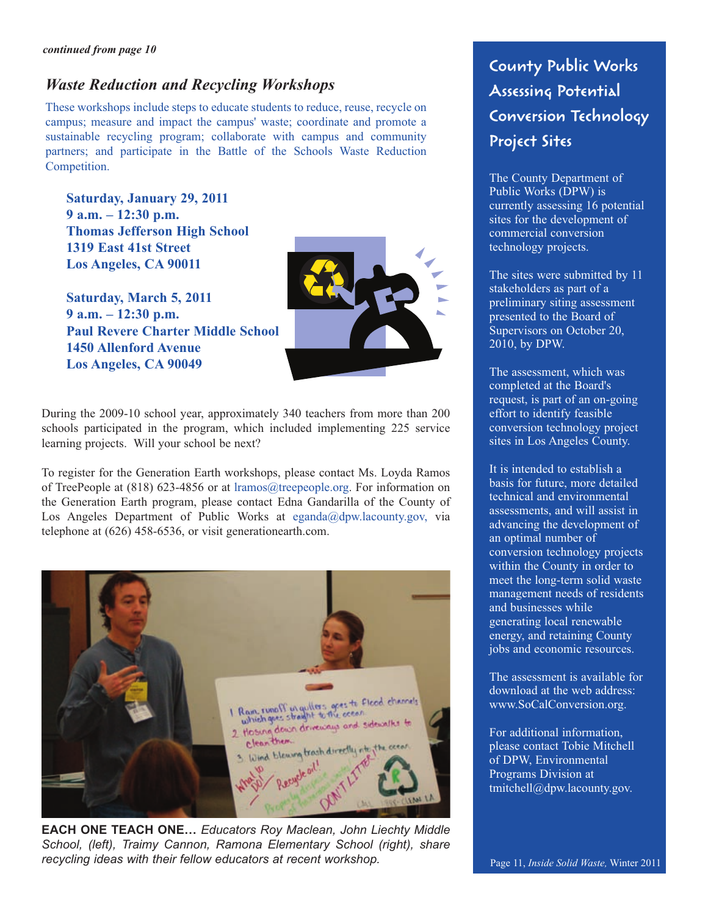### *Waste Reduction and Recycling Workshops*

These workshops include steps to educate students to reduce, reuse, recycle on campus; measure and impact the campus' waste; coordinate and promote a sustainable recycling program; collaborate with campus and community partners; and participate in the Battle of the Schools Waste Reduction Competition.

**Saturday, January 29, 2011 9 a.m. – 12:30 p.m. Thomas Jefferson High School 1319 East 41st Street Los Angeles, CA 90011**

**Saturday, March 5, 2011 9 a.m. – 12:30 p.m. Paul Revere Charter Middle School 1450 Allenford Avenue Los Angeles, CA 90049**



During the 2009-10 school year, approximately 340 teachers from more than 200 schools participated in the program, which included implementing 225 service learning projects. Will your school be next?

To register for the Generation Earth workshops, please contact Ms. Loyda Ramos of TreePeople at (818) 623-4856 or [at lramos@treepeople.org. F](mailto:\\lramos@treepeople.org)or information on the Generation Earth program, please contact Edna Gandarilla of the County of Los Angeles Department of Public Works [at eganda@dpw.lacounty.go](ailto:\\eganda@dpw.lacounty.gov)v, via telephone at (626) 458-6536, or visit generationearth.com.



**EACH ONE TEACH ONE…** *Educators Roy Maclean, John Liechty Middle School, (left), Traimy Cannon, Ramona Elementary School (right), share recycling ideas with their fellow educators at recent workshop.*

**County Public Works Assessing Potential Conversion Technology Project Sites** 

The County Department of Public Works (DPW) is currently assessing 16 potential sites for the development of commercial conversion technology projects.

The sites were submitted by 11 stakeholders as part of a preliminary siting assessment presented to the Board of Supervisors on October 20, 2010, by DPW.

The assessment, which was completed at the Board's request, is part of an on-going effort to identify feasible conversion technology project sites in Los Angeles County.

It is intended to establish a basis for future, more detailed technical and environmental assessments, and will assist in advancing the development of an optimal number of conversion technology projects within the County in order to meet the long-term solid waste management needs of residents and businesses while generating local renewable energy, and retaining County jobs and economic resources.

The assessment is available for download at the web address: www.SoCalConversion.org.

For additional information, please contact Tobie Mitchell of DPW, Environmental Programs Division at tmitchell@dpw.lacounty.gov.